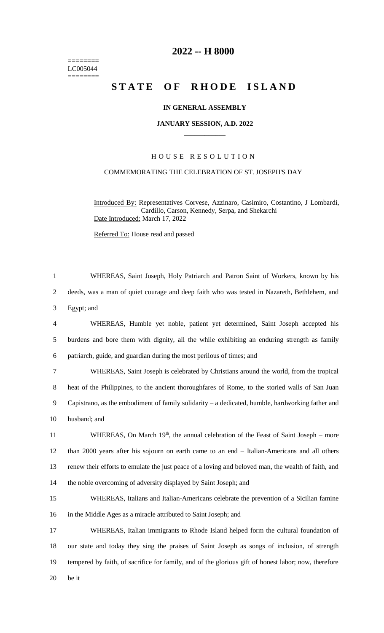======== LC005044 ========

# **2022 -- H 8000**

# **STATE OF RHODE ISLAND**

## **IN GENERAL ASSEMBLY**

#### **JANUARY SESSION, A.D. 2022 \_\_\_\_\_\_\_\_\_\_\_\_**

### H O U S E R E S O L U T I O N

## COMMEMORATING THE CELEBRATION OF ST. JOSEPH'S DAY

Introduced By: Representatives Corvese, Azzinaro, Casimiro, Costantino, J Lombardi, Cardillo, Carson, Kennedy, Serpa, and Shekarchi Date Introduced: March 17, 2022

Referred To: House read and passed

 WHEREAS, Saint Joseph, Holy Patriarch and Patron Saint of Workers, known by his deeds, was a man of quiet courage and deep faith who was tested in Nazareth, Bethlehem, and Egypt; and WHEREAS, Humble yet noble, patient yet determined, Saint Joseph accepted his burdens and bore them with dignity, all the while exhibiting an enduring strength as family patriarch, guide, and guardian during the most perilous of times; and WHEREAS, Saint Joseph is celebrated by Christians around the world, from the tropical heat of the Philippines, to the ancient thoroughfares of Rome, to the storied walls of San Juan Capistrano, as the embodiment of family solidarity – a dedicated, humble, hardworking father and husband; and 11 WHEREAS, On March 19<sup>th</sup>, the annual celebration of the Feast of Saint Joseph – more

12 than 2000 years after his sojourn on earth came to an end – Italian-Americans and all others 13 renew their efforts to emulate the just peace of a loving and beloved man, the wealth of faith, and 14 the noble overcoming of adversity displayed by Saint Joseph; and

15 WHEREAS, Italians and Italian-Americans celebrate the prevention of a Sicilian famine 16 in the Middle Ages as a miracle attributed to Saint Joseph; and

 WHEREAS, Italian immigrants to Rhode Island helped form the cultural foundation of our state and today they sing the praises of Saint Joseph as songs of inclusion, of strength tempered by faith, of sacrifice for family, and of the glorious gift of honest labor; now, therefore 20 be it